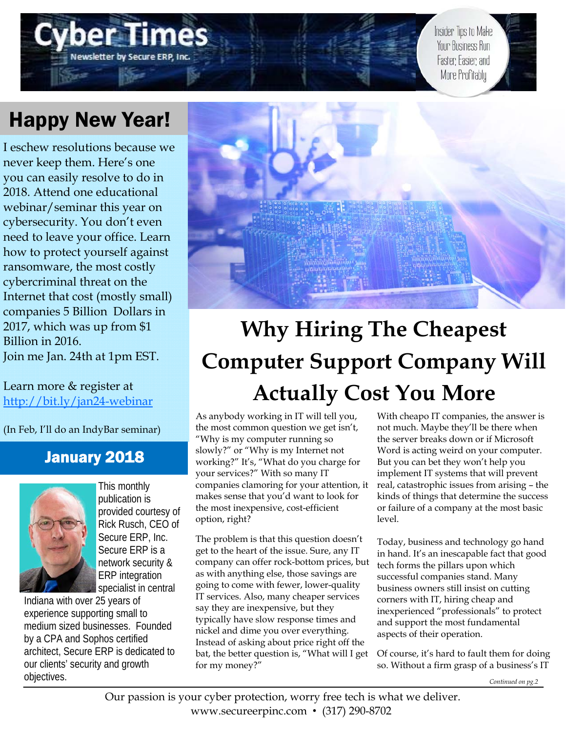

Insider Tips to Make Your Business Run Faster, Easier, and More Profitably

## Happy New Year!

I eschew resolutions because we never keep them. Here's one you can easily resolve to do in 2018. Attend one educational webinar/seminar this year on cybersecurity. You don't even need to leave your office. Learn how to protect yourself against ransomware, the most costly cybercriminal threat on the Internet that cost (mostly small) companies 5 Billion Dollars in 2017, which was up from \$1 Billion in 2016. Join me Jan. 24th at 1pm EST.

Learn more & register at http://bit.ly/jan24-webinar

(In Feb, I'll do an IndyBar seminar)

### January 2018



This monthly publication is provided courtesy of Rick Rusch, CEO of Secure ERP, Inc. Secure ERP is a network security & ERP integration specialist in central

Indiana with over 25 years of experience supporting small to medium sized businesses. Founded by a CPA and Sophos certified architect, Secure ERP is dedicated to our clients' security and growth objectives.



# **Why Hiring The Cheapest Computer Support Company Will Actually Cost You More**

As anybody working in IT will tell you, the most common question we get isn't, "Why is my computer running so slowly?" or "Why is my Internet not working?" It's, "What do you charge for your services?" With so many IT companies clamoring for your attention, it makes sense that you'd want to look for the most inexpensive, cost-efficient option, right?

The problem is that this question doesn't get to the heart of the issue. Sure, any IT company can offer rock-bottom prices, but as with anything else, those savings are going to come with fewer, lower-quality IT services. Also, many cheaper services say they are inexpensive, but they typically have slow response times and nickel and dime you over everything. Instead of asking about price right off the bat, the better question is, "What will I get for my money?"

With cheapo IT companies, the answer is not much. Maybe they'll be there when the server breaks down or if Microsoft Word is acting weird on your computer. But you can bet they won't help you implement IT systems that will prevent real, catastrophic issues from arising – the kinds of things that determine the success or failure of a company at the most basic level.

Today, business and technology go hand in hand. It's an inescapable fact that good tech forms the pillars upon which successful companies stand. Many business owners still insist on cutting corners with IT, hiring cheap and inexperienced "professionals" to protect and support the most fundamental aspects of their operation.

Of course, it's hard to fault them for doing so. Without a firm grasp of a business's IT

*Continued on pg.2*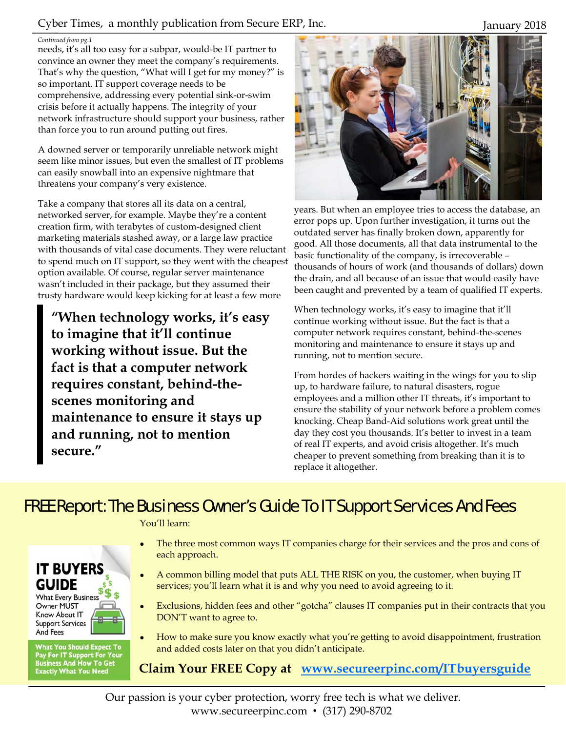### Cyber Times, a monthly publication from Secure ERP, Inc. January 2018

#### *Continued from pg.1*

needs, it's all too easy for a subpar, would-be IT partner to convince an owner they meet the company's requirements. That's why the question, "What will I get for my money?" is so important. IT support coverage needs to be comprehensive, addressing every potential sink-or-swim crisis before it actually happens. The integrity of your network infrastructure should support your business, rather than force you to run around putting out fires.

A downed server or temporarily unreliable network might seem like minor issues, but even the smallest of IT problems can easily snowball into an expensive nightmare that threatens your company's very existence.

Take a company that stores all its data on a central, networked server, for example. Maybe they're a content creation firm, with terabytes of custom-designed client marketing materials stashed away, or a large law practice with thousands of vital case documents. They were reluctant to spend much on IT support, so they went with the cheapest option available. Of course, regular server maintenance wasn't included in their package, but they assumed their trusty hardware would keep kicking for at least a few more

**"When technology works, it's easy to imagine that it'll continue working without issue. But the fact is that a computer network requires constant, behind-thescenes monitoring and maintenance to ensure it stays up and running, not to mention secure."** 



years. But when an employee tries to access the database, an error pops up. Upon further investigation, it turns out the outdated server has finally broken down, apparently for good. All those documents, all that data instrumental to the basic functionality of the company, is irrecoverable – thousands of hours of work (and thousands of dollars) down the drain, and all because of an issue that would easily have been caught and prevented by a team of qualified IT experts.

When technology works, it's easy to imagine that it'll continue working without issue. But the fact is that a computer network requires constant, behind-the-scenes monitoring and maintenance to ensure it stays up and running, not to mention secure.

From hordes of hackers waiting in the wings for you to slip up, to hardware failure, to natural disasters, rogue employees and a million other IT threats, it's important to ensure the stability of your network before a problem comes knocking. Cheap Band-Aid solutions work great until the day they cost you thousands. It's better to invest in a team of real IT experts, and avoid crisis altogether. It's much cheaper to prevent something from breaking than it is to replace it altogether.

### FREE Report: The Business Owner's Guide To IT Support Services And Fees

#### You'll learn:



Pay For IT Support For Your<br>Business And How To Get<br>Exactly What You Need

- The three most common ways IT companies charge for their services and the pros and cons of each approach.
- A common billing model that puts ALL THE RISK on you, the customer, when buying IT services; you'll learn what it is and why you need to avoid agreeing to it.
- Exclusions, hidden fees and other "gotcha" clauses IT companies put in their contracts that you DON'T want to agree to.
- How to make sure you know exactly what you're getting to avoid disappointment, frustration and added costs later on that you didn't anticipate.

### **Claim Your FREE Copy at www.secureerpinc.com/ITbuyersguide**

Our passion is your cyber protection, worry free tech is what we deliver. www.secureerpinc.com • (317) 290-8702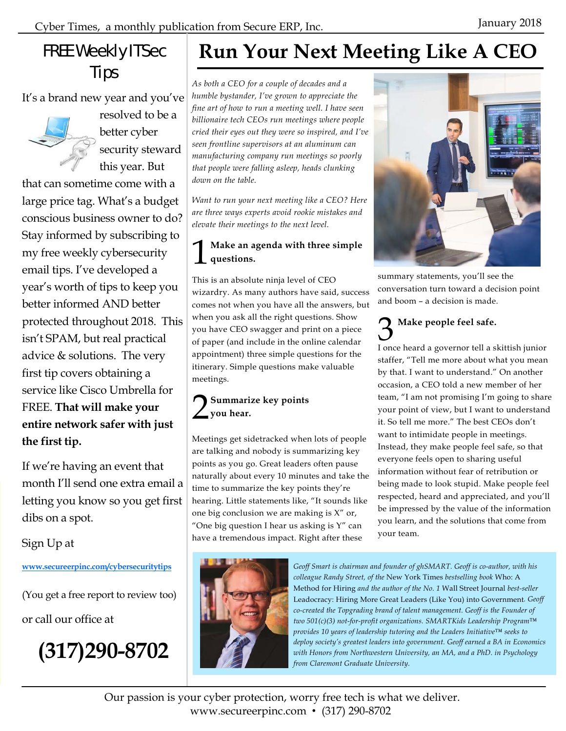### FREE Weekly ITSec **Tips**

It's a brand new year and you've

resolved to be a better cyber security steward

this year. But that can sometime come with a large price tag. What's a budget conscious business owner to do? Stay informed by subscribing to my free weekly cybersecurity email tips. I've developed a year's worth of tips to keep you better informed AND better protected throughout 2018. This isn't SPAM, but real practical advice & solutions. The very first tip covers obtaining a service like Cisco Umbrella for FREE. **That will make your entire network safer with just the first tip.** 

If we're having an event that month I'll send one extra email a letting you know so you get first dibs on a spot.

Sign Up at

**www.secureerpinc.com/cybersecuritytips**

(You get a free report to review too)

or call our office at

**(317)290-8702** 

## **Run Your Next Meeting Like A CEO**

*As both a CEO for a couple of decades and a humble bystander, I've grown to appreciate the fine art of how to run a meeting well. I have seen billionaire tech CEOs run meetings where people cried their eyes out they were so inspired, and I've seen frontline supervisors at an aluminum can manufacturing company run meetings so poorly that people were falling asleep, heads clunking down on the table.* 

*Want to run your next meeting like a CEO? Here are three ways experts avoid rookie mistakes and elevate their meetings to the next level.*

### 1**Make an agenda with three simple questions.**

This is an absolute ninja level of CEO wizardry. As many authors have said, success comes not when you have all the answers, but when you ask all the right questions. Show you have CEO swagger and print on a piece of paper (and include in the online calendar appointment) three simple questions for the itinerary. Simple questions make valuable meetings.

### 2**Summarize key points you hear.**

Meetings get sidetracked when lots of people are talking and nobody is summarizing key points as you go. Great leaders often pause naturally about every 10 minutes and take the time to summarize the key points they're hearing. Little statements like, "It sounds like one big conclusion we are making is X" or, "One big question I hear us asking is Y" can have a tremendous impact. Right after these



*Geoff Smart is chairman and founder of ghSMART. Geoff is co-author, with his colleague Randy Street, of the* New York Times *bestselling book* Who: A Method for Hiring *and the author of the No. 1* Wall Street Journal *best-seller*  Leadocracy: Hiring More Great Leaders (Like You) into Government*. Geoff co-created the Topgrading brand of talent management. Geoff is the Founder of two 501(c)(3) not-for-profit organizations. SMARTKids Leadership Program™ provides 10 years of leadership tutoring and the Leaders Initiative™ seeks to deploy society's greatest leaders into government. Geoff earned a BA in Economics with Honors from Northwestern University, an MA, and a PhD. in Psychology from Claremont Graduate University.* 



summary statements, you'll see the conversation turn toward a decision point and boom – a decision is made.

# 3 **Make people feel safe.**

I once heard a governor tell a skittish junior staffer, "Tell me more about what you mean by that. I want to understand." On another occasion, a CEO told a new member of her team, "I am not promising I'm going to share your point of view, but I want to understand it. So tell me more." The best CEOs don't want to intimidate people in meetings. Instead, they make people feel safe, so that everyone feels open to sharing useful information without fear of retribution or being made to look stupid. Make people feel respected, heard and appreciated, and you'll be impressed by the value of the information you learn, and the solutions that come from your team.